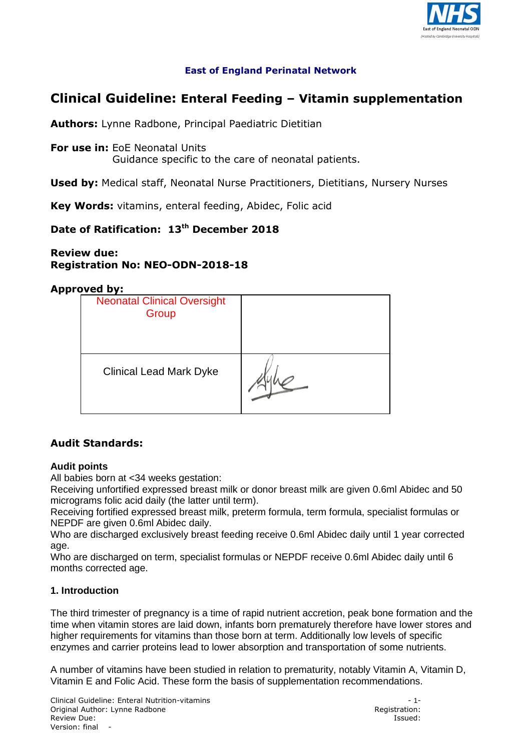

## **East of England Perinatal Network**

# **Clinical Guideline: Enteral Feeding – Vitamin supplementation**

**Authors:** Lynne Radbone, Principal Paediatric Dietitian

**For use in:** EoE Neonatal Units Guidance specific to the care of neonatal patients.

**Used by:** Medical staff, Neonatal Nurse Practitioners, Dietitians, Nursery Nurses

**Key Words:** vitamins, enteral feeding, Abidec, Folic acid

# **Date of Ratification: 13th December 2018**

### **Review due: Registration No: NEO-ODN-2018-18**

#### **Approved by:**

| <b>Neonatal Clinical Oversight</b><br>Group |  |
|---------------------------------------------|--|
| <b>Clinical Lead Mark Dyke</b>              |  |

## **Audit Standards:**

#### **Audit points**

All babies born at <34 weeks gestation:

Receiving unfortified expressed breast milk or donor breast milk are given 0.6ml Abidec and 50 micrograms folic acid daily (the latter until term).

Receiving fortified expressed breast milk, preterm formula, term formula, specialist formulas or NEPDF are given 0.6ml Abidec daily.

Who are discharged exclusively breast feeding receive 0.6ml Abidec daily until 1 year corrected age.

Who are discharged on term, specialist formulas or NEPDF receive 0.6ml Abidec daily until 6 months corrected age.

#### **1. Introduction**

The third trimester of pregnancy is a time of rapid nutrient accretion, peak bone formation and the time when vitamin stores are laid down, infants born prematurely therefore have lower stores and higher requirements for vitamins than those born at term. Additionally low levels of specific enzymes and carrier proteins lead to lower absorption and transportation of some nutrients.

A number of vitamins have been studied in relation to prematurity, notably Vitamin A, Vitamin D, Vitamin E and Folic Acid. These form the basis of supplementation recommendations.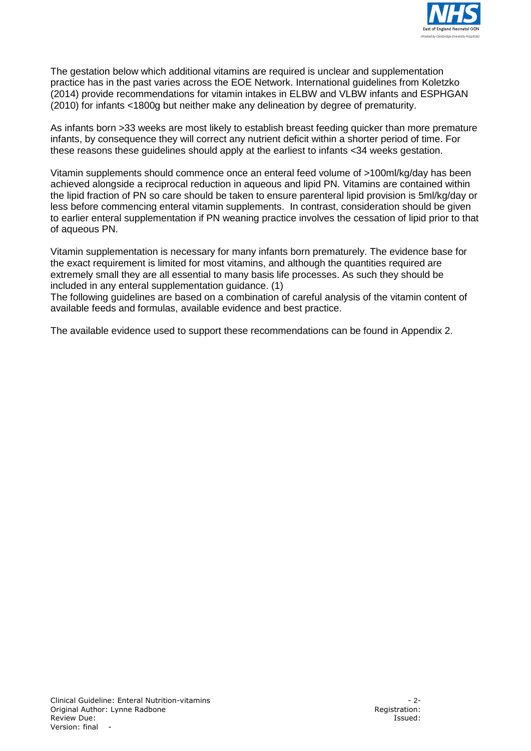

The gestation below which additional vitamins are required is unclear and supplementation practice has in the past varies across the EOE Network. International guidelines from Koletzko (2014) provide recommendations for vitamin intakes in ELBW and VLBW infants and ESPHGAN (2010) for infants <1800g but neither make any delineation by degree of prematurity.

As infants born >33 weeks are most likely to establish breast feeding quicker than more premature infants, by consequence they will correct any nutrient deficit within a shorter period of time. For these reasons these guidelines should apply at the earliest to infants <34 weeks gestation.

Vitamin supplements should commence once an enteral feed volume of >100ml/kg/day has been achieved alongside a reciprocal reduction in aqueous and lipid PN. Vitamins are contained within the lipid fraction of PN so care should be taken to ensure parenteral lipid provision is 5ml/kg/day or less before commencing enteral vitamin supplements. In contrast, consideration should be given to earlier enteral supplementation if PN weaning practice involves the cessation of lipid prior to that of aqueous PN.

Vitamin supplementation is necessary for many infants born prematurely. The evidence base for the exact requirement is limited for most vitamins, and although the quantities required are extremely small they are all essential to many basis life processes. As such they should be included in any enteral supplementation guidance. (1)

The following guidelines are based on a combination of careful analysis of the vitamin content of available feeds and formulas, available evidence and best practice.

The available evidence used to support these recommendations can be found in Appendix 2.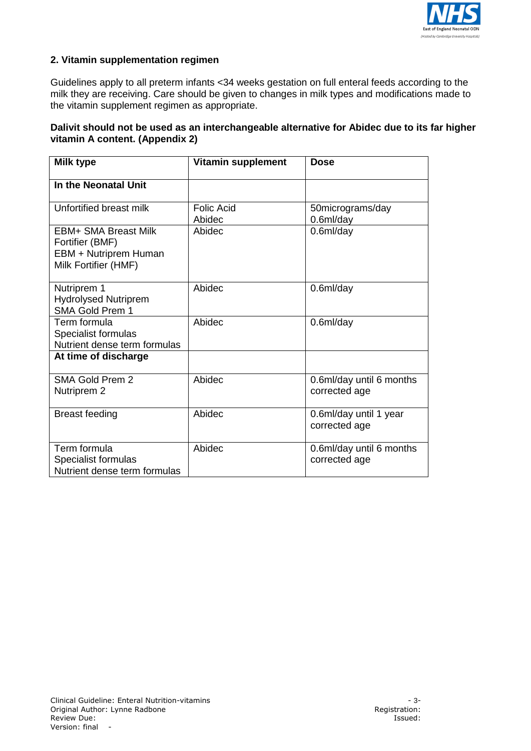

### **2. Vitamin supplementation regimen**

Guidelines apply to all preterm infants <34 weeks gestation on full enteral feeds according to the milk they are receiving. Care should be given to changes in milk types and modifications made to the vitamin supplement regimen as appropriate.

#### **Dalivit should not be used as an interchangeable alternative for Abidec due to its far higher vitamin A content. (Appendix 2)**

| <b>Milk type</b>                                                                                | <b>Vitamin supplement</b>   | <b>Dose</b>                               |
|-------------------------------------------------------------------------------------------------|-----------------------------|-------------------------------------------|
| In the Neonatal Unit                                                                            |                             |                                           |
| Unfortified breast milk                                                                         | <b>Folic Acid</b><br>Abidec | 50micrograms/day<br>0.6 <sub>m</sub> /day |
| <b>FBM+ SMA Breast Milk</b><br>Fortifier (BMF)<br>EBM + Nutriprem Human<br>Milk Fortifier (HMF) | Abidec                      | $0.6$ ml/day                              |
| Nutriprem 1<br><b>Hydrolysed Nutriprem</b><br>SMA Gold Prem 1                                   | Abidec                      | 0.6 <sub>m</sub> /day                     |
| Term formula<br>Specialist formulas<br>Nutrient dense term formulas                             | Abidec                      | $0.6$ ml/day                              |
| At time of discharge                                                                            |                             |                                           |
| <b>SMA Gold Prem 2</b><br>Nutriprem 2                                                           | Abidec                      | 0.6ml/day until 6 months<br>corrected age |
| <b>Breast feeding</b>                                                                           | Abidec                      | 0.6ml/day until 1 year<br>corrected age   |
| Term formula<br>Specialist formulas<br>Nutrient dense term formulas                             | Abidec                      | 0.6ml/day until 6 months<br>corrected age |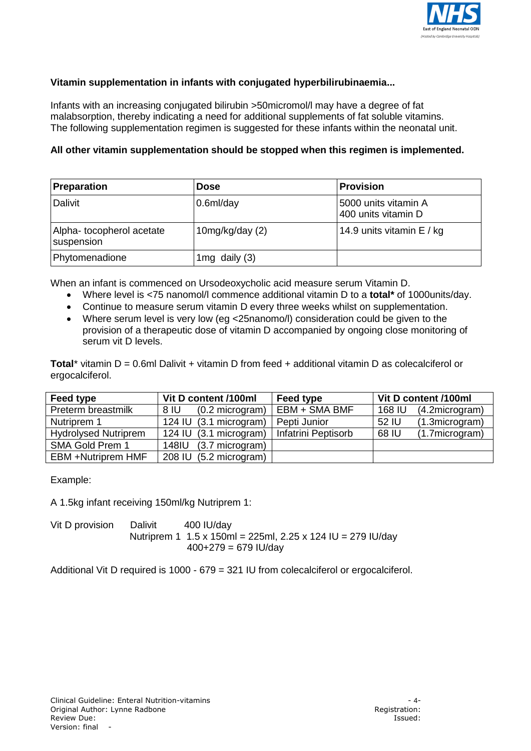

#### **Vitamin supplementation in infants with conjugated hyperbilirubinaemia...**

Infants with an increasing conjugated bilirubin >50micromol/l may have a degree of fat malabsorption, thereby indicating a need for additional supplements of fat soluble vitamins. The following supplementation regimen is suggested for these infants within the neonatal unit.

#### **All other vitamin supplementation should be stopped when this regimen is implemented.**

| <b>Preparation</b>                     | <b>Dose</b>       | <b>Provision</b>                            |
|----------------------------------------|-------------------|---------------------------------------------|
| <b>Dalivit</b>                         | $0.6$ ml/day      | 5000 units vitamin A<br>400 units vitamin D |
| Alpha-tocopherol acetate<br>suspension | 10mg/kg/day $(2)$ | 14.9 units vitamin E / kg                   |
| Phytomenadione                         | 1mg daily $(3)$   |                                             |

When an infant is commenced on Ursodeoxycholic acid measure serum Vitamin D.

- Where level is <75 nanomol/l commence additional vitamin D to a **total\*** of 1000units/day.
- Continue to measure serum vitamin D every three weeks whilst on supplementation.
- Where serum level is very low (eg <25nanomo/l) consideration could be given to the provision of a therapeutic dose of vitamin D accompanied by ongoing close monitoring of serum vit D levels.

**Total**\* vitamin D = 0.6ml Dalivit + vitamin D from feed + additional vitamin D as colecalciferol or ergocalciferol.

| Feed type                   | Vit D content /100ml    | Feed type           | Vit D content /100ml             |
|-----------------------------|-------------------------|---------------------|----------------------------------|
| Preterm breastmilk          | (0.2 microgram)<br>8 IU | EBM + SMA BMF       | 168 IU<br>(4.2microgram)         |
| Nutriprem 1                 | 124 IU (3.1 microgram)  | Pepti Junior        | 52 IU<br>$(1.3\text{microgram})$ |
| <b>Hydrolysed Nutriprem</b> | 124 IU (3.1 microgram)  | Infatrini Peptisorb | 68 IU<br>(1.7microgram)          |
| SMA Gold Prem 1             | 148IU (3.7 microgram)   |                     |                                  |
| EBM +Nutriprem HMF          | 208 IU (5.2 microgram)  |                     |                                  |

Example:

A 1.5kg infant receiving 150ml/kg Nutriprem 1:

Vit D provision Dalivit 400 IU/dav Nutriprem 1 1.5 x 150ml = 225ml, 2.25 x 124 IU = 279 IU/day  $400+279 = 679$  IU/day

Additional Vit D required is 1000 - 679 = 321 IU from colecalciferol or ergocalciferol.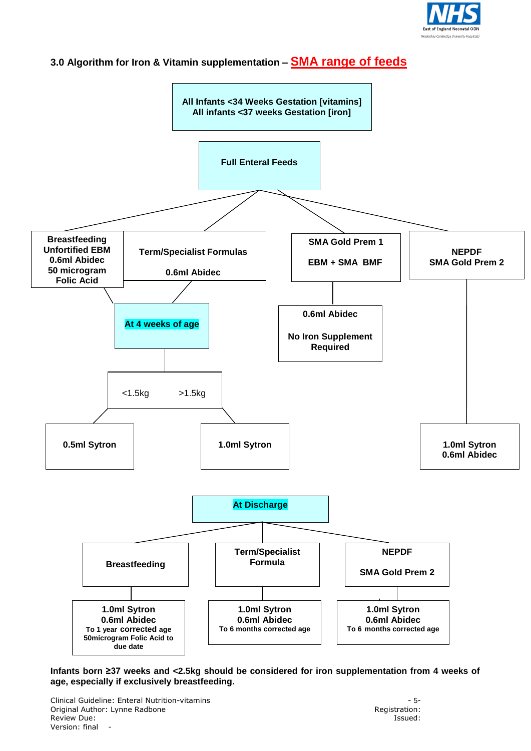

# **3.0 Algorithm for Iron & Vitamin supplementation – SMA range of feeds**



**Infants born ≥37 weeks and <2.5kg should be considered for iron supplementation from 4 weeks of age, especially if exclusively breastfeeding.** 

Clinical Guideline: Enteral Nutrition-vitamins - 5- Original Author: Lynne Radbone Review Due: **Issued:** Issued: Version: final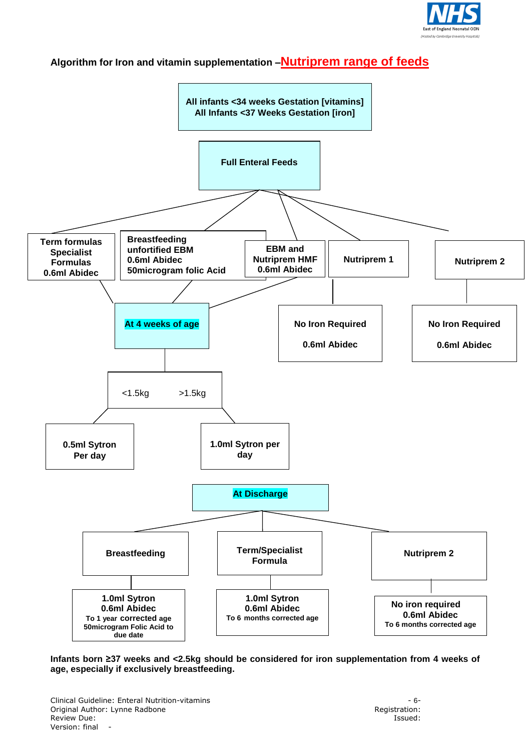

# **Algorithm for Iron and vitamin supplementation –Nutriprem range of feeds**



**Infants born ≥37 weeks and <2.5kg should be considered for iron supplementation from 4 weeks of age, especially if exclusively breastfeeding.** 

Clinical Guideline: Enteral Nutrition-vitamins - 6- Original Author: Lynne Radbone Review Due: **Issued:** Issued: Version: final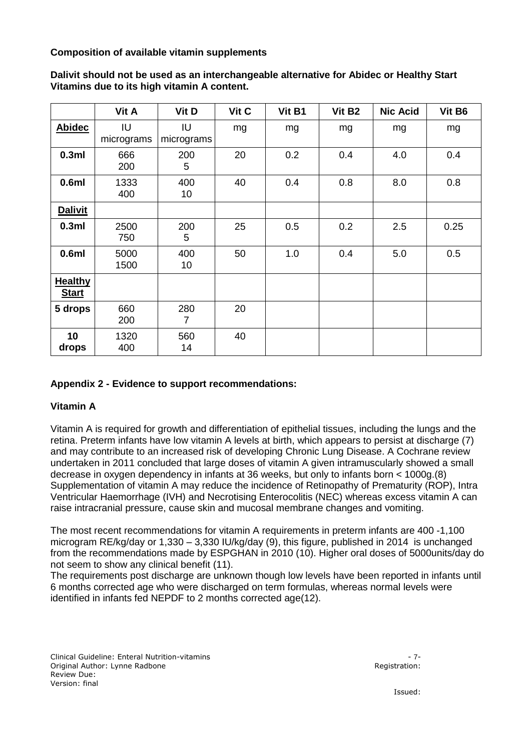**Composition of available vitamin supplements**

|                                | Vit A            | Vit D            | Vit C | Vit B1 | Vit B <sub>2</sub> | <b>Nic Acid</b> | Vit B6 |
|--------------------------------|------------------|------------------|-------|--------|--------------------|-----------------|--------|
| <b>Abidec</b>                  | IU<br>micrograms | IU<br>micrograms | mg    | mg     | mg                 | mg              | mg     |
| 0.3ml                          | 666<br>200       | 200<br>5         | 20    | 0.2    | 0.4                | 4.0             | 0.4    |
| 0.6ml                          | 1333<br>400      | 400<br>10        | 40    | 0.4    | 0.8                | 8.0             | 0.8    |
| <b>Dalivit</b>                 |                  |                  |       |        |                    |                 |        |
| 0.3ml                          | 2500<br>750      | 200<br>5         | 25    | 0.5    | 0.2                | 2.5             | 0.25   |
| 0.6ml                          | 5000<br>1500     | 400<br>10        | 50    | 1.0    | 0.4                | 5.0             | 0.5    |
| <b>Healthy</b><br><b>Start</b> |                  |                  |       |        |                    |                 |        |
| 5 drops                        | 660<br>200       | 280<br>7         | 20    |        |                    |                 |        |
| 10<br>drops                    | 1320<br>400      | 560<br>14        | 40    |        |                    |                 |        |

**Dalivit should not be used as an interchangeable alternative for Abidec or Healthy Start Vitamins due to its high vitamin A content.** 

### **Appendix 2 - Evidence to support recommendations:**

#### **Vitamin A**

Vitamin A is required for growth and differentiation of epithelial tissues, including the lungs and the retina. Preterm infants have low vitamin A levels at birth, which appears to persist at discharge (7) and may contribute to an increased risk of developing Chronic Lung Disease. A Cochrane review undertaken in 2011 concluded that large doses of vitamin A given intramuscularly showed a small decrease in oxygen dependency in infants at 36 weeks, but only to infants born < 1000g.(8) Supplementation of vitamin A may reduce the incidence of Retinopathy of Prematurity (ROP), Intra Ventricular Haemorrhage (IVH) and Necrotising Enterocolitis (NEC) whereas excess vitamin A can raise intracranial pressure, cause skin and mucosal membrane changes and vomiting.

The most recent recommendations for vitamin A requirements in preterm infants are 400 -1,100 microgram RE/kg/day or 1,330 – 3,330 IU/kg/day (9), this figure, published in 2014 is unchanged from the recommendations made by ESPGHAN in 2010 (10). Higher oral doses of 5000units/day do not seem to show any clinical benefit (11).

The requirements post discharge are unknown though low levels have been reported in infants until 6 months corrected age who were discharged on term formulas, whereas normal levels were identified in infants fed NEPDF to 2 months corrected age(12).

Clinical Guideline: Enteral Nutrition-vitamins - 7- Original Author: Lynne Radbone Registration: Registration: Review Due: Version: final

Issued: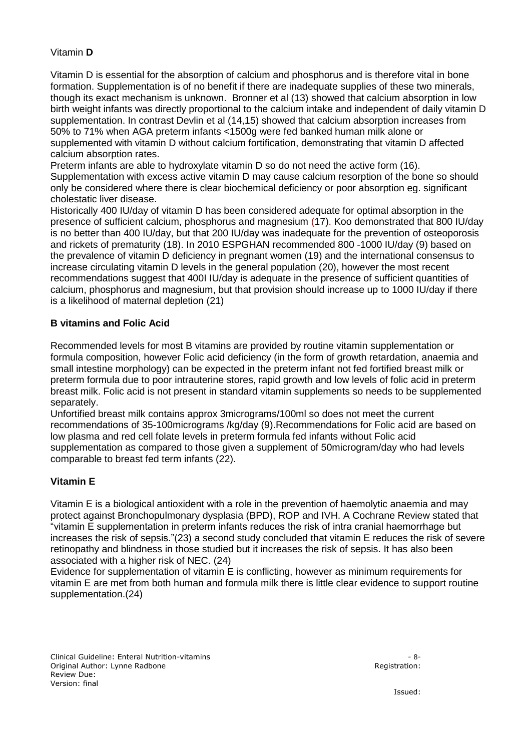#### Vitamin **D**

Vitamin D is essential for the absorption of calcium and phosphorus and is therefore vital in bone formation. Supplementation is of no benefit if there are inadequate supplies of these two minerals, though its exact mechanism is unknown. Bronner et al (13) showed that calcium absorption in low birth weight infants was directly proportional to the calcium intake and independent of daily vitamin D supplementation. In contrast Devlin et al (14,15) showed that calcium absorption increases from 50% to 71% when AGA preterm infants <1500g were fed banked human milk alone or supplemented with vitamin D without calcium fortification, demonstrating that vitamin D affected calcium absorption rates.

Preterm infants are able to hydroxylate vitamin D so do not need the active form (16). Supplementation with excess active vitamin D may cause calcium resorption of the bone so should only be considered where there is clear biochemical deficiency or poor absorption eg. significant cholestatic liver disease.

Historically 400 IU/day of vitamin D has been considered adequate for optimal absorption in the presence of sufficient calcium, phosphorus and magnesium (17). Koo demonstrated that 800 IU/day is no better than 400 IU/day, but that 200 IU/day was inadequate for the prevention of osteoporosis and rickets of prematurity (18). In 2010 ESPGHAN recommended 800 -1000 IU/day (9) based on the prevalence of vitamin D deficiency in pregnant women (19) and the international consensus to increase circulating vitamin D levels in the general population (20), however the most recent recommendations suggest that 400I IU/day is adequate in the presence of sufficient quantities of calcium, phosphorus and magnesium, but that provision should increase up to 1000 IU/day if there is a likelihood of maternal depletion (21)

#### **B vitamins and Folic Acid**

Recommended levels for most B vitamins are provided by routine vitamin supplementation or formula composition, however Folic acid deficiency (in the form of growth retardation, anaemia and small intestine morphology) can be expected in the preterm infant not fed fortified breast milk or preterm formula due to poor intrauterine stores, rapid growth and low levels of folic acid in preterm breast milk. Folic acid is not present in standard vitamin supplements so needs to be supplemented separately.

Unfortified breast milk contains approx 3micrograms/100ml so does not meet the current recommendations of 35-100micrograms /kg/day (9).Recommendations for Folic acid are based on low plasma and red cell folate levels in preterm formula fed infants without Folic acid supplementation as compared to those given a supplement of 50microgram/day who had levels comparable to breast fed term infants (22).

### **Vitamin E**

Vitamin E is a biological antioxident with a role in the prevention of haemolytic anaemia and may protect against Bronchopulmonary dysplasia (BPD), ROP and IVH. A Cochrane Review stated that "vitamin E supplementation in preterm infants reduces the risk of intra cranial haemorrhage but increases the risk of sepsis."(23) a second study concluded that vitamin E reduces the risk of severe retinopathy and blindness in those studied but it increases the risk of sepsis. It has also been associated with a higher risk of NEC. (24)

Evidence for supplementation of vitamin E is conflicting, however as minimum requirements for vitamin E are met from both human and formula milk there is little clear evidence to support routine supplementation.(24)

Clinical Guideline: Enteral Nutrition-vitamins - 8- Original Author: Lynne Radbone Registration: Registration: Review Due: Version: final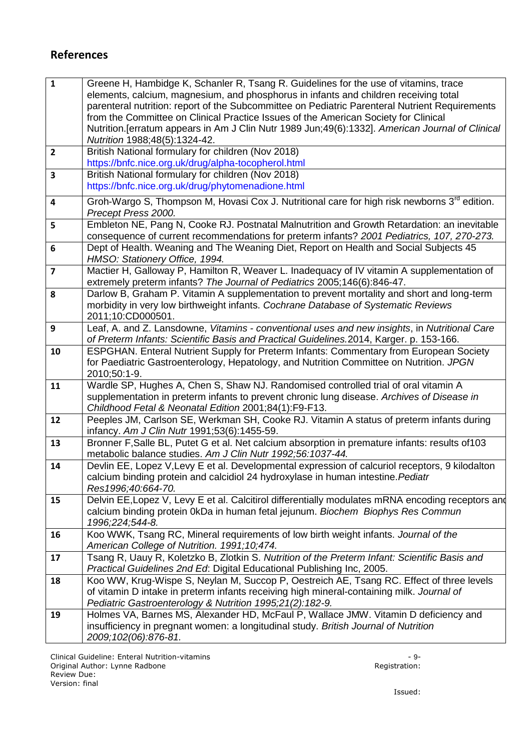# **References**

| $\mathbf{1}$            | Greene H, Hambidge K, Schanler R, Tsang R. Guidelines for the use of vitamins, trace<br>elements, calcium, magnesium, and phosphorus in infants and children receiving total<br>parenteral nutrition: report of the Subcommittee on Pediatric Parenteral Nutrient Requirements<br>from the Committee on Clinical Practice Issues of the American Society for Clinical<br>Nutrition. [erratum appears in Am J Clin Nutr 1989 Jun; 49(6): 1332]. American Journal of Clinical<br>Nutrition 1988;48(5):1324-42. |
|-------------------------|--------------------------------------------------------------------------------------------------------------------------------------------------------------------------------------------------------------------------------------------------------------------------------------------------------------------------------------------------------------------------------------------------------------------------------------------------------------------------------------------------------------|
| $\overline{2}$          | British National formulary for children (Nov 2018)<br>https://bnfc.nice.org.uk/drug/alpha-tocopherol.html                                                                                                                                                                                                                                                                                                                                                                                                    |
| $\overline{\mathbf{3}}$ | British National formulary for children (Nov 2018)<br>https://bnfc.nice.org.uk/drug/phytomenadione.html                                                                                                                                                                                                                                                                                                                                                                                                      |
| 4                       | Groh-Wargo S, Thompson M, Hovasi Cox J. Nutritional care for high risk newborns $3^{rd}$ edition.<br>Precept Press 2000.                                                                                                                                                                                                                                                                                                                                                                                     |
| 5                       | Embleton NE, Pang N, Cooke RJ. Postnatal Malnutrition and Growth Retardation: an inevitable<br>consequence of current recommendations for preterm infants? 2001 Pediatrics, 107, 270-273.                                                                                                                                                                                                                                                                                                                    |
| 6                       | Dept of Health. Weaning and The Weaning Diet, Report on Health and Social Subjects 45<br>HMSO: Stationery Office, 1994.                                                                                                                                                                                                                                                                                                                                                                                      |
| $\overline{\mathbf{z}}$ | Mactier H, Galloway P, Hamilton R, Weaver L. Inadequacy of IV vitamin A supplementation of<br>extremely preterm infants? The Journal of Pediatrics 2005;146(6):846-47.                                                                                                                                                                                                                                                                                                                                       |
| 8                       | Darlow B, Graham P. Vitamin A supplementation to prevent mortality and short and long-term<br>morbidity in very low birthweight infants. Cochrane Database of Systematic Reviews<br>2011;10:CD000501.                                                                                                                                                                                                                                                                                                        |
| 9                       | Leaf, A. and Z. Lansdowne, Vitamins - conventional uses and new insights, in Nutritional Care<br>of Preterm Infants: Scientific Basis and Practical Guidelines.2014, Karger. p. 153-166.                                                                                                                                                                                                                                                                                                                     |
| 10                      | ESPGHAN. Enteral Nutrient Supply for Preterm Infants: Commentary from European Society<br>for Paediatric Gastroenterology, Hepatology, and Nutrition Committee on Nutrition. JPGN<br>2010;50:1-9.                                                                                                                                                                                                                                                                                                            |
| 11                      | Wardle SP, Hughes A, Chen S, Shaw NJ. Randomised controlled trial of oral vitamin A<br>supplementation in preterm infants to prevent chronic lung disease. Archives of Disease in<br>Childhood Fetal & Neonatal Edition 2001;84(1):F9-F13.                                                                                                                                                                                                                                                                   |
| 12                      | Peeples JM, Carlson SE, Werkman SH, Cooke RJ. Vitamin A status of preterm infants during<br>infancy. Am J Clin Nutr 1991;53(6):1455-59.                                                                                                                                                                                                                                                                                                                                                                      |
| 13                      | Bronner F, Salle BL, Putet G et al. Net calcium absorption in premature infants: results of 103<br>metabolic balance studies. Am J Clin Nutr 1992;56:1037-44.                                                                                                                                                                                                                                                                                                                                                |
| 14                      | Devlin EE, Lopez V, Levy E et al. Developmental expression of calcuriol receptors, 9 kilodalton<br>calcium binding protein and calcidiol 24 hydroxylase in human intestine. Pediatr<br>Res1996;40:664-70.                                                                                                                                                                                                                                                                                                    |
| 15                      | Delvin EE, Lopez V, Levy E et al. Calcitirol differentially modulates mRNA encoding receptors and<br>calcium binding protein 0kDa in human fetal jejunum. Biochem Biophys Res Commun<br>1996;224;544-8.                                                                                                                                                                                                                                                                                                      |
| 16                      | Koo WWK, Tsang RC, Mineral requirements of low birth weight infants. Journal of the<br>American College of Nutrition. 1991;10;474.                                                                                                                                                                                                                                                                                                                                                                           |
| 17                      | Tsang R, Uauy R, Koletzko B, Zlotkin S. Nutrition of the Preterm Infant: Scientific Basis and<br>Practical Guidelines 2nd Ed: Digital Educational Publishing Inc, 2005.                                                                                                                                                                                                                                                                                                                                      |
| 18                      | Koo WW, Krug-Wispe S, Neylan M, Succop P, Oestreich AE, Tsang RC. Effect of three levels<br>of vitamin D intake in preterm infants receiving high mineral-containing milk. Journal of<br>Pediatric Gastroenterology & Nutrition 1995;21(2):182-9.                                                                                                                                                                                                                                                            |
| 19                      | Holmes VA, Barnes MS, Alexander HD, McFaul P, Wallace JMW. Vitamin D deficiency and<br>insufficiency in pregnant women: a longitudinal study. British Journal of Nutrition<br>2009;102(06):876-81.                                                                                                                                                                                                                                                                                                           |